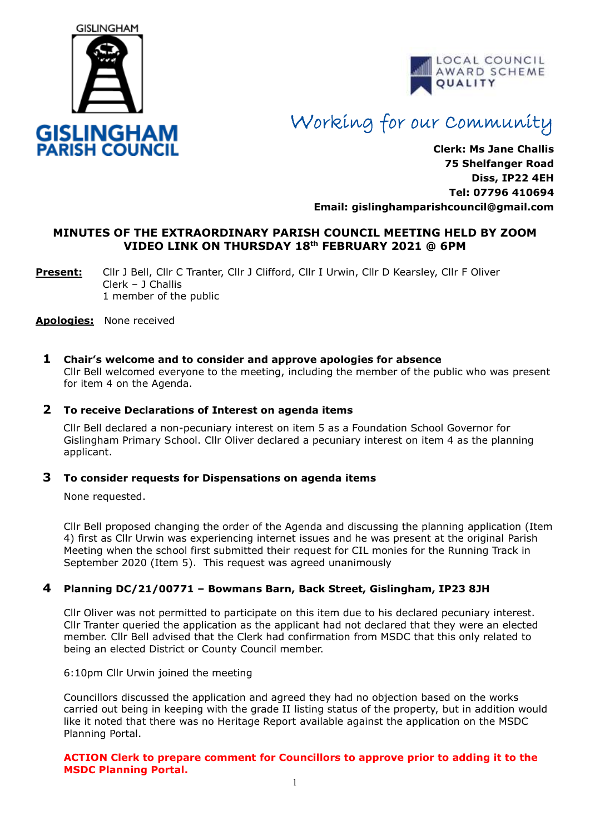



# Working for our Community

**Clerk: Ms Jane Challis 75 Shelfanger Road Diss, IP22 4EH Tel: 07796 410694 Email: [gislinghamparishcouncil@gmail.com](mailto:gislinghamparishcouncil@gmail.com)**

# **MINUTES OF THE EXTRAORDINARY PARISH COUNCIL MEETING HELD BY ZOOM VIDEO LINK ON THURSDAY 18 th FEBRUARY 2021 @ 6PM**

**Present:** Cllr J Bell, Cllr C Tranter, Cllr J Clifford, Cllr I Urwin, Cllr D Kearsley, Cllr F Oliver Clerk – J Challis 1 member of the public

**Apologies:** None received

### **1 Chair's welcome and to consider and approve apologies for absence**

Cllr Bell welcomed everyone to the meeting, including the member of the public who was present for item 4 on the Agenda.

### **2 To receive Declarations of Interest on agenda items**

 Cllr Bell declared a non-pecuniary interest on item 5 as a Foundation School Governor for Gislingham Primary School. Cllr Oliver declared a pecuniary interest on item 4 as the planning applicant.

#### **3 To consider requests for Dispensations on agenda items**

None requested.

Cllr Bell proposed changing the order of the Agenda and discussing the planning application (Item 4) first as Cllr Urwin was experiencing internet issues and he was present at the original Parish Meeting when the school first submitted their request for CIL monies for the Running Track in September 2020 (Item 5). This request was agreed unanimously

## **4 Planning DC/21/00771 – Bowmans Barn, Back Street, Gislingham, IP23 8JH**

Cllr Oliver was not permitted to participate on this item due to his declared pecuniary interest. Cllr Tranter queried the application as the applicant had not declared that they were an elected member. Cllr Bell advised that the Clerk had confirmation from MSDC that this only related to being an elected District or County Council member.

6:10pm Cllr Urwin joined the meeting

Councillors discussed the application and agreed they had no objection based on the works carried out being in keeping with the grade II listing status of the property, but in addition would like it noted that there was no Heritage Report available against the application on the MSDC Planning Portal.

#### **ACTION Clerk to prepare comment for Councillors to approve prior to adding it to the MSDC Planning Portal.**